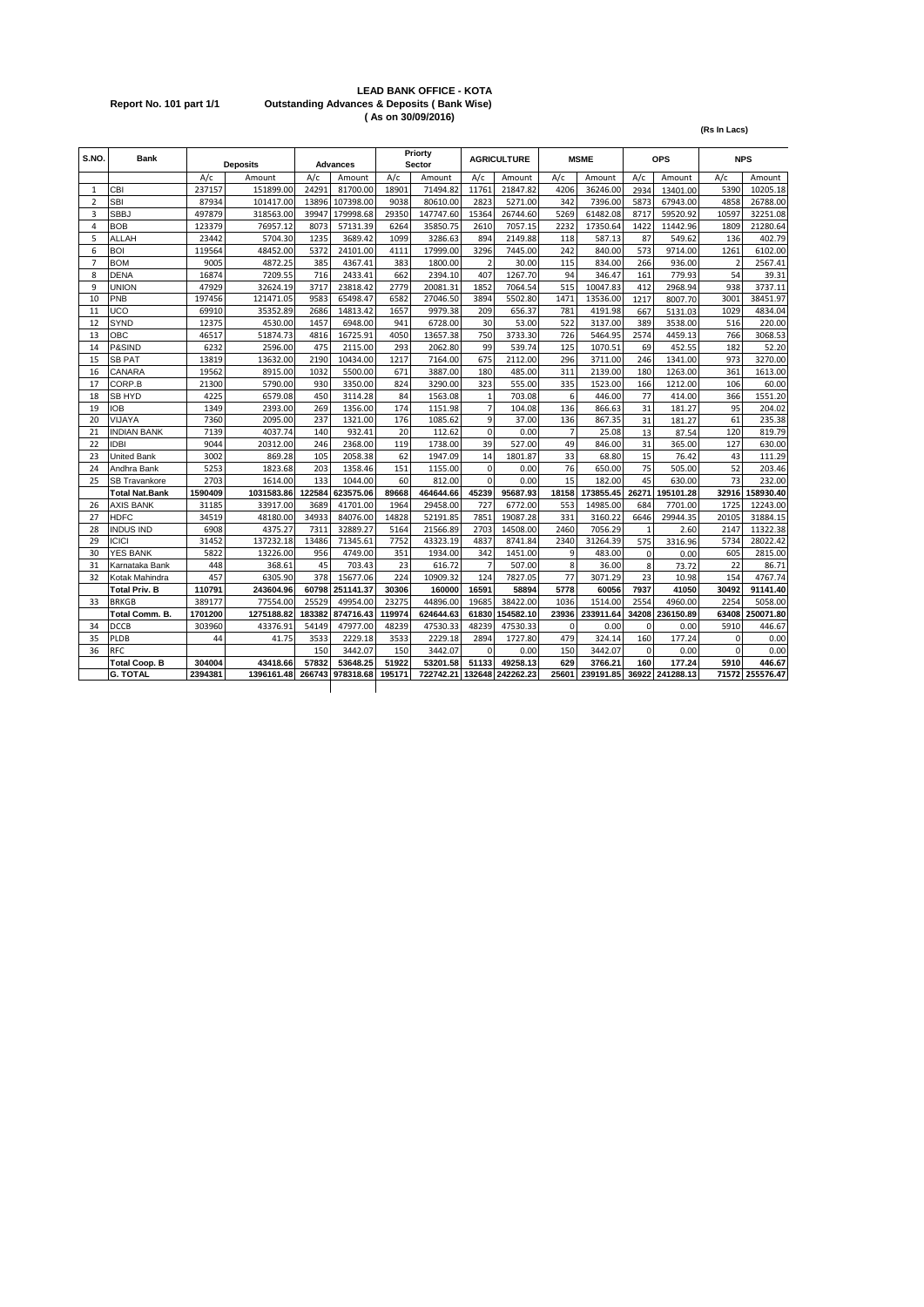#### **LEAD BANK OFFICE - KOTA Report No. 101 part 1/1 Outstanding Advances & Deposits ( Bank Wise) ( As on 30/09/2016)**

**(Rs In Lacs)**

| S.NO           | <b>Bank</b>           |         | <b>Deposits</b> |        | Advances  |        | Priorty<br>Sector |                | <b>AGRICULTURE</b> |                | <b>MSME</b> |             | OPS       |                | <b>NPS</b>      |
|----------------|-----------------------|---------|-----------------|--------|-----------|--------|-------------------|----------------|--------------------|----------------|-------------|-------------|-----------|----------------|-----------------|
|                |                       | A/c     | Amount          | A/c    | Amount    | A/c    | Amount            | A/c            | Amount             | A/c            | Amount      | A/c         | Amount    | A/c            | Amount          |
| $\mathbf{1}$   | CBI                   | 237157  | 151899.00       | 24291  | 81700.00  | 18901  | 71494.82          | 11761          | 21847.82           | 4206           | 36246.00    | 2934        | 13401.00  | 5390           | 10205.18        |
| $\overline{2}$ | <b>SBI</b>            | 87934   | 101417.00       | 13896  | 107398.00 | 9038   | 80610.00          | 2823           | 5271.00            | 342            | 7396.00     | 5873        | 67943.00  | 4858           | 26788.00        |
| 3              | <b>SBBJ</b>           | 497879  | 318563.00       | 39947  | 179998.68 | 29350  | 147747.60         | 15364          | 26744.60           | 5269           | 61482.08    | 8717        | 59520.92  | 10597          | 32251.08        |
| $\overline{4}$ | <b>BOB</b>            | 123379  | 76957.12        | 8073   | 57131.39  | 6264   | 35850.75          | 2610           | 7057.15            | 2232           | 17350.64    | 1422        | 11442.96  | 1809           | 21280.64        |
| 5              | ALLAH                 | 23442   | 5704.30         | 1235   | 3689.42   | 1099   | 3286.63           | 894            | 2149.88            | 118            | 587.13      | 87          | 549.62    | 136            | 402.79          |
| 6              | <b>BOI</b>            | 119564  | 48452.00        | 5372   | 24101.00  | 4111   | 17999.00          | 3296           | 7445.00            | 242            | 840.00      | 573         | 9714.00   | 1261           | 6102.00         |
| $\overline{7}$ | <b>BOM</b>            | 9005    | 4872.25         | 385    | 4367.41   | 383    | 1800.00           | $\overline{2}$ | 30.00              | 115            | 834.00      | 266         | 936.00    | $\overline{2}$ | 2567.41         |
| 8              | <b>DENA</b>           | 16874   | 7209.55         | 716    | 2433.41   | 662    | 2394.10           | 407            | 1267.70            | 94             | 346.47      | 161         | 779.93    | 54             | 39.31           |
| 9              | UNION                 | 47929   | 32624.19        | 3717   | 23818.42  | 2779   | 20081.31          | 1852           | 7064.54            | 515            | 10047.83    | 412         | 2968.94   | 938            | 3737.11         |
| 10             | PNB                   | 197456  | 121471.05       | 9583   | 65498.47  | 6582   | 27046.50          | 3894           | 5502.80            | 1471           | 13536.00    | 1217        | 8007.70   | 3001           | 38451.97        |
| 11             | <b>UCO</b>            | 69910   | 35352.89        | 2686   | 14813.42  | 1657   | 9979.38           | 209            | 656.37             | 781            | 4191.98     | 667         | 5131.03   | 1029           | 4834.04         |
| 12             | <b>SYND</b>           | 12375   | 4530.00         | 1457   | 6948.00   | 941    | 6728.00           | 30             | 53.00              | 522            | 3137.00     | 389         | 3538.00   | 516            | 220.00          |
| 13             | ОВС                   | 46517   | 51874.73        | 4816   | 16725.91  | 4050   | 13657.38          | 750            | 3733.30            | 726            | 5464.95     | 2574        | 4459.13   | 766            | 3068.53         |
| 14             | <b>P&amp;SIND</b>     | 6232    | 2596.00         | 475    | 2115.00   | 293    | 2062.80           | 99             | 539.74             | 125            | 1070.51     | 69          | 452.55    | 182            | 52.20           |
| 15             | <b>SB PAT</b>         | 13819   | 13632.00        | 2190   | 10434.00  | 1217   | 7164.00           | 675            | 2112.00            | 296            | 3711.00     | 246         | 1341.00   | 973            | 3270.00         |
| 16             | CANARA                | 19562   | 8915.00         | 1032   | 5500.00   | 671    | 3887.00           | 180            | 485.00             | 311            | 2139.00     | 180         | 1263.00   | 361            | 1613.00         |
| 17             | CORP.B                | 21300   | 5790.00         | 930    | 3350.00   | 824    | 3290.00           | 323            | 555.00             | 335            | 1523.00     | 166         | 1212.00   | 106            | 60.00           |
| 18             | <b>SB HYD</b>         | 4225    | 6579.08         | 450    | 3114.28   | 84     | 1563.08           | $\mathbf{1}$   | 703.08             | 6              | 446.00      | 77          | 414.00    | 366            | 1551.20         |
| 19             | <b>IOB</b>            | 1349    | 2393.00         | 269    | 1356.00   | 174    | 1151.98           | $\overline{7}$ | 104.08             | 136            | 866.63      | 31          | 181.27    | 95             | 204.02          |
| 20             | VIJAYA                | 7360    | 2095.00         | 237    | 1321.00   | 176    | 1085.62           | $\mathbf{q}$   | 37.00              | 136            | 867.35      | 31          | 181.27    | 61             | 235.38          |
| 21             | <b>INDIAN BANK</b>    | 7139    | 4037.74         | 140    | 932.41    | 20     | 112.62            | $\mathbf 0$    | 0.00               | $\overline{7}$ | 25.08       | 13          | 87.54     | 120            | 819.79          |
| 22             | <b>IDBI</b>           | 9044    | 20312.00        | 246    | 2368.00   | 119    | 1738.00           | 39             | 527.00             | 49             | 846.00      | 31          | 365.00    | 127            | 630.00          |
| 23             | United Bank           | 3002    | 869.28          | 105    | 2058.38   | 62     | 1947.09           | 14             | 1801.87            | 33             | 68.80       | 15          | 76.42     | 43             | 111.29          |
| 24             | Andhra Bank           | 5253    | 1823.68         | 203    | 1358.46   | 151    | 1155.00           | $\Omega$       | 0.00               | 76             | 650.00      | 75          | 505.00    | 52             | 203.46          |
| 25             | <b>SB Travankore</b>  | 2703    | 1614.00         | 133    | 1044.00   | 60     | 812.00            | $\Omega$       | 0.00               | 15             | 182.00      | 45          | 630.00    | 73             | 232.00          |
|                | <b>Total Nat.Bank</b> | 1590409 | 1031583.86      | 122584 | 623575.06 | 89668  | 464644.66         | 45239          | 95687.93           | 18158          | 173855.45   | 26271       | 195101.28 |                | 32916 158930.40 |
| 26             | <b>AXIS BANK</b>      | 31185   | 33917.00        | 3689   | 41701.00  | 1964   | 29458.00          | 727            | 6772.00            | 553            | 14985.00    | 684         | 7701.00   | 1725           | 12243.00        |
| 27             | <b>HDFC</b>           | 34519   | 48180.00        | 34933  | 84076.00  | 14828  | 52191.85          | 7851           | 19087.28           | 331            | 3160.22     | 6646        | 29944.35  | 20105          | 31884.15        |
| 28             | <b>INDUS IND</b>      | 6908    | 4375.27         | 7311   | 32889.27  | 5164   | 21566.89          | 2703           | 14508.00           | 2460           | 7056.29     | 1           | 2.60      | 2147           | 11322.38        |
| 29             | <b>ICICI</b>          | 31452   | 137232.18       | 13486  | 71345.61  | 7752   | 43323.19          | 4837           | 8741.84            | 2340           | 31264.39    | 575         | 3316.96   | 5734           | 28022.42        |
| 30             | <b>YES BANK</b>       | 5822    | 13226.00        | 956    | 4749.00   | 351    | 1934.00           | 342            | 1451.00            | 9              | 483.00      | $\mathbf 0$ | 0.00      | 605            | 2815.00         |
| 31             | Karnataka Bank        | 448     | 368.61          | 45     | 703.43    | 23     | 616.72            | $\overline{7}$ | 507.00             | 8              | 36.00       | 8           | 73.72     | 22             | 86.71           |
| 32             | Kotak Mahindra        | 457     | 6305.90         | 378    | 15677.06  | 224    | 10909.32          | 124            | 7827.05            | 77             | 3071.29     | 23          | 10.98     | 154            | 4767.74         |
|                | <b>Total Priv. B</b>  | 110791  | 243604.96       | 60798  | 251141.37 | 30306  | 160000            | 16591          | 58894              | 5778           | 60056       | 7937        | 41050     | 30492          | 91141.40        |
| 33             | <b>BRKGB</b>          | 389177  | 77554.00        | 25529  | 49954.00  | 23275  | 44896.00          | 19685          | 38422.00           | 1036           | 1514.00     | 2554        | 4960.00   | 2254           | 5058.00         |
|                | Total Comm. B.        | 1701200 | 1275188.82      | 183382 | 874716.43 | 119974 | 624644.63         | 61830          | 154582.10          | 23936          | 233911.64   | 34208       | 236150.89 | 63408          | 250071.80       |
| 34             | <b>DCCB</b>           | 303960  | 43376.91        | 54149  | 47977.00  | 48239  | 47530.33          | 48239          | 47530.33           | $\mathbf 0$    | 0.00        | $\Omega$    | 0.00      | 5910           | 446.67          |
| 35             | PLDB                  | 44      | 41.75           | 3533   | 2229.18   | 3533   | 2229.18           | 2894           | 1727.80            | 479            | 324.14      | 160         | 177.24    | $\mathbf 0$    | 0.00            |
| 36             | <b>RFC</b>            |         |                 | 150    | 3442.07   | 150    | 3442.07           | $\Omega$       | 0.00               | 150            | 3442.07     | $\mathbf 0$ | 0.00      | $\mathbf 0$    | 0.00            |
|                | <b>Total Coop. B</b>  | 304004  | 43418.66        | 57832  | 53648.25  | 51922  | 53201.58          | 51133          | 49258.13           | 629            | 3766.21     | 160         | 177.24    | 5910           | 446.67          |
|                | <b>G. TOTAL</b>       | 2394381 | 1396161.48      | 266743 | 978318.68 | 195171 | 722742.21         | 132648         | 242262.23          | 25601          | 239191.85   | 36922       | 241288.13 | 71572          | 255576.47       |
|                |                       |         |                 |        |           |        |                   |                |                    |                |             |             |           |                |                 |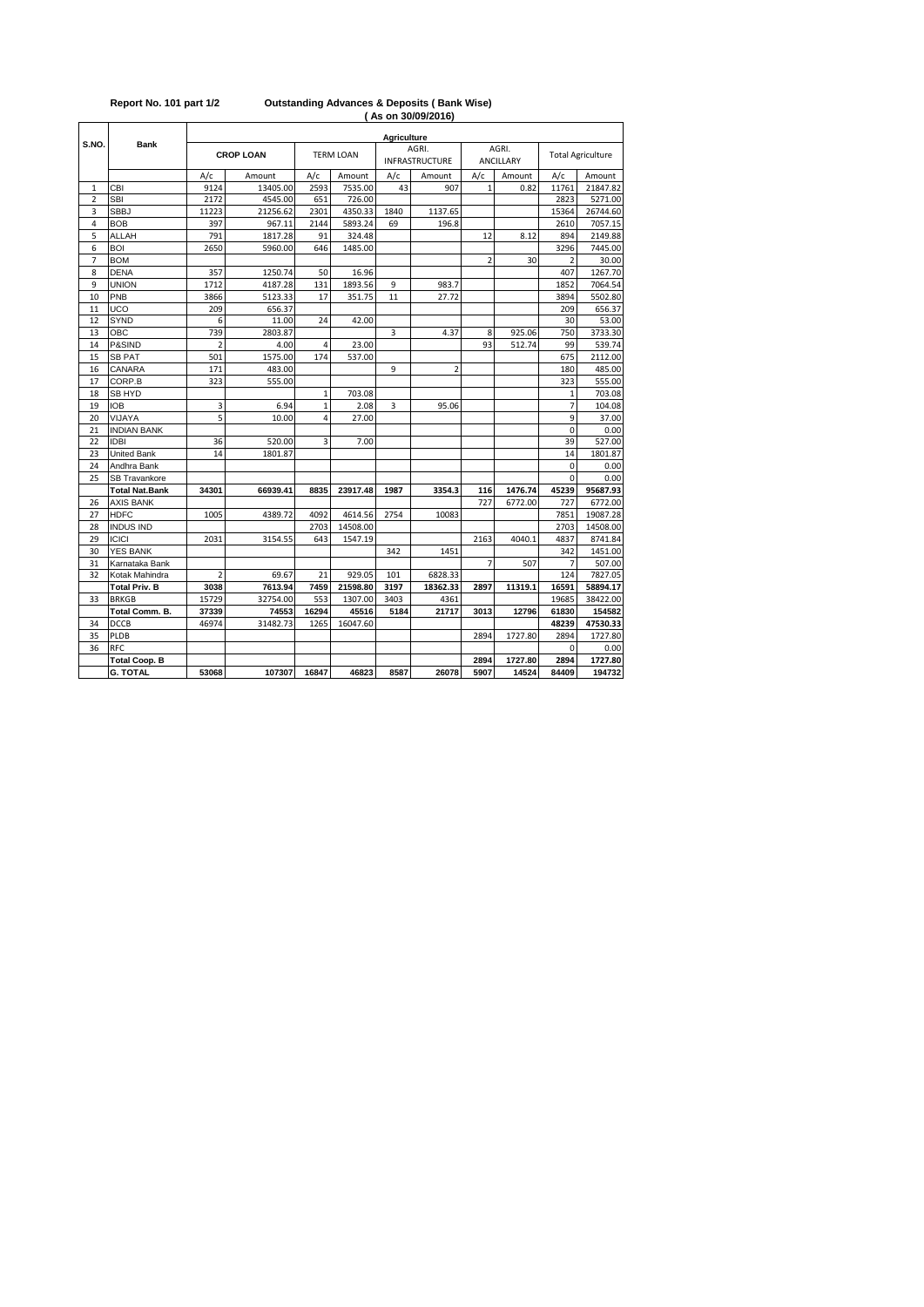|                |                       |                |                  |                |                  | <b>Agriculture</b> |                         |                |                           |                |                          |  |
|----------------|-----------------------|----------------|------------------|----------------|------------------|--------------------|-------------------------|----------------|---------------------------|----------------|--------------------------|--|
| S.NO.          | <b>Bank</b>           |                | <b>CROP LOAN</b> |                | <b>TERM LOAN</b> |                    | AGRI.<br>INFRASTRUCTURE |                | AGRI.<br><b>ANCILLARY</b> |                | <b>Total Agriculture</b> |  |
|                |                       | A/c            | Amount           | A/c            | Amount           | A/c                | Amount                  | A/c            | Amount                    | A/c            | Amount                   |  |
| 1              | CBI                   | 9124           | 13405.00         | 2593           | 7535.00          | 43                 | 907                     | $\mathbf{1}$   | 0.82                      | 11761          | 21847.82                 |  |
| $\overline{2}$ | <b>SBI</b>            | 2172           | 4545.00          | 651            | 726.00           |                    |                         |                |                           | 2823           | 5271.00                  |  |
| 3              | <b>SBBJ</b>           | 11223          | 21256.62         | 2301           | 4350.33          | 1840               | 1137.65                 |                |                           | 15364          | 26744.60                 |  |
| 4              | <b>BOB</b>            | 397            | 967.11           | 2144           | 5893.24          | 69                 | 196.8                   |                |                           | 2610           | 7057.15                  |  |
| 5              | ALLAH                 | 791            | 1817.28          | 91             | 324.48           |                    |                         | 12             | 8.12                      | 894            | 2149.88                  |  |
| 6              | <b>BOI</b>            | 2650           | 5960.00          | 646            | 1485.00          |                    |                         |                |                           | 3296           | 7445.00                  |  |
| $\overline{7}$ | <b>BOM</b>            |                |                  |                |                  |                    |                         | $\overline{2}$ | 30                        | $\overline{2}$ | 30.00                    |  |
| 8              | <b>DENA</b>           | 357            | 1250.74          | 50             | 16.96            |                    |                         |                |                           | 407            | 1267.70                  |  |
| 9              | <b>UNION</b>          | 1712           | 4187.28          | 131            | 1893.56          | 9                  | 983.7                   |                |                           | 1852           | 7064.54                  |  |
| 10             | PNB                   | 3866           | 5123.33          | 17             | 351.75           | 11                 | 27.72                   |                |                           | 3894           | 5502.80                  |  |
| 11             | UCO                   | 209            | 656.37           |                |                  |                    |                         |                |                           | 209            | 656.37                   |  |
| 12             | SYND                  | 6              | 11.00            | 24             | 42.00            |                    |                         |                |                           | 30             | 53.00                    |  |
| 13             | OBC                   | 739            | 2803.87          |                |                  | 3                  | 4.37                    | 8              | 925.06                    | 750            | 3733.30                  |  |
| 14             | P&SIND                | $\overline{a}$ | 4.00             | $\overline{4}$ | 23.00            |                    |                         | 93             | 512.74                    | 99             | 539.74                   |  |
| 15             | <b>SB PAT</b>         | 501            | 1575.00          | 174            | 537.00           |                    |                         |                |                           | 675            | 2112.00                  |  |
| 16             | CANARA                | 171            | 483.00           |                |                  | 9                  | $\overline{2}$          |                |                           | 180            | 485.00                   |  |
| 17             | CORP.B                | 323            | 555.00           |                |                  |                    |                         |                |                           | 323            | 555.00                   |  |
| 18             | <b>SB HYD</b>         |                |                  | $\mathbf{1}$   | 703.08           |                    |                         |                |                           | 1              | 703.08                   |  |
| 19             | <b>IOB</b>            | 3              | 6.94             | $\mathbf{1}$   | 2.08             | 3                  | 95.06                   |                |                           | $\overline{7}$ | 104.08                   |  |
| 20             | VIJAYA                | 5              | 10.00            | 4              | 27.00            |                    |                         |                |                           | 9              | 37.00                    |  |
| 21             | <b>INDIAN BANK</b>    |                |                  |                |                  |                    |                         |                |                           | $\overline{0}$ | 0.00                     |  |
| 22             | <b>IDBI</b>           | 36             | 520.00           | 3              | 7.00             |                    |                         |                |                           | 39             | 527.00                   |  |
| 23             | <b>United Bank</b>    | 14             | 1801.87          |                |                  |                    |                         |                |                           | 14             | 1801.87                  |  |
| 24             | Andhra Bank           |                |                  |                |                  |                    |                         |                |                           | 0              | 0.00                     |  |
| 25             | <b>SB Travankore</b>  |                |                  |                |                  |                    |                         |                |                           | $\Omega$       | 0.00                     |  |
|                | <b>Total Nat.Bank</b> | 34301          | 66939.41         | 8835           | 23917.48         | 1987               | 3354.3                  | 116            | 1476.74                   | 45239          | 95687.93                 |  |
| 26             | <b>AXIS BANK</b>      |                |                  |                |                  |                    |                         | 727            | 6772.00                   | 727            | 6772.00                  |  |
| 27             | <b>HDFC</b>           | 1005           | 4389.72          | 4092           | 4614.56          | 2754               | 10083                   |                |                           | 7851           | 19087.28                 |  |
| 28             | <b>INDUS IND</b>      |                |                  | 2703           | 14508.00         |                    |                         |                |                           | 2703           | 14508.00                 |  |
| 29             | <b>ICICI</b>          | 2031           | 3154.55          | 643            | 1547.19          |                    |                         | 2163           | 4040.1                    | 4837           | 8741.84                  |  |
| 30             | <b>YES BANK</b>       |                |                  |                |                  | 342                | 1451                    |                |                           | 342            | 1451.00                  |  |
| 31             | Karnataka Bank        |                |                  |                |                  |                    |                         | 7              | 507                       | 7              | 507.00                   |  |
| 32             | Kotak Mahindra        | $\overline{2}$ | 69.67            | 21             | 929.05           | 101                | 6828.33                 |                |                           | 124            | 7827.05                  |  |
|                | <b>Total Priv. B</b>  | 3038           | 7613.94          | 7459           | 21598.80         | 3197               | 18362.33                | 2897           | 11319.1                   | 16591          | 58894.17                 |  |
| 33             | <b>BRKGB</b>          | 15729          | 32754.00         | 553            | 1307.00          | 3403               | 4361                    |                |                           | 19685          | 38422.00                 |  |
|                | <b>Total Comm. B.</b> | 37339          | 74553            | 16294          | 45516            | 5184               | 21717                   | 3013           | 12796                     | 61830          | 154582                   |  |
| 34             | DCCB                  | 46974          | 31482.73         | 1265           | 16047.60         |                    |                         |                |                           | 48239          | 47530.33                 |  |
| 35             | PLDB                  |                |                  |                |                  |                    |                         | 2894           | 1727.80                   | 2894           | 1727.80                  |  |
| 36             | RFC                   |                |                  |                |                  |                    |                         |                |                           | 0              | 0.00                     |  |
|                | <b>Total Coop. B</b>  |                |                  |                |                  |                    |                         | 2894           | 1727.80                   | 2894           | 1727.80                  |  |
|                | <b>G. TOTAL</b>       | 53068          | 107307           | 16847          | 46823            | 8587               | 26078                   | 5907           | 14524                     | 84409          | 194732                   |  |

## **( As on 30/09/2016) Report No. 101 part 1/2 Outstanding Advances & Deposits ( Bank Wise)**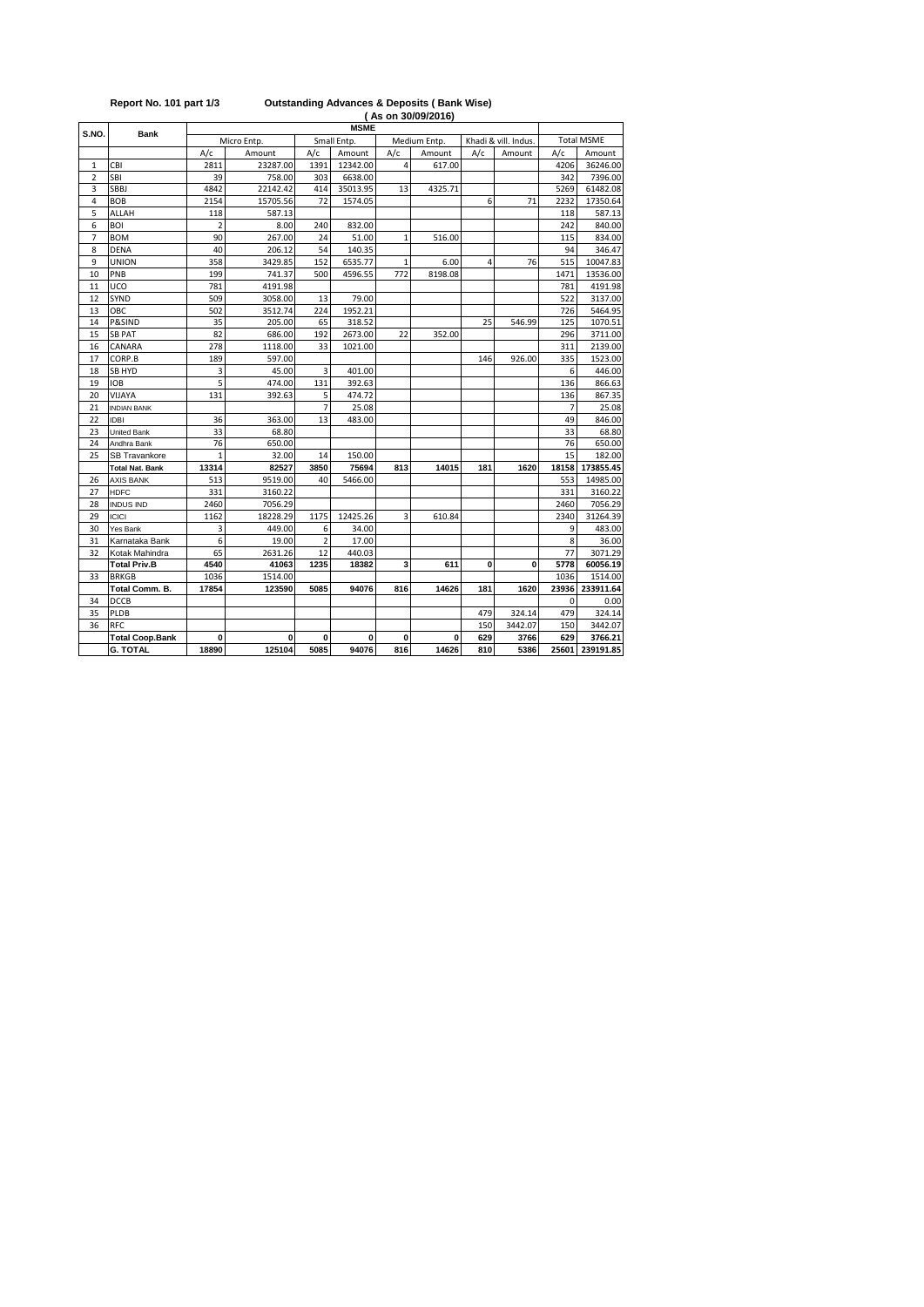|                |                        |                |             |                |             |              | As on 30/09/2016) |             |                      |       |                   |
|----------------|------------------------|----------------|-------------|----------------|-------------|--------------|-------------------|-------------|----------------------|-------|-------------------|
| S.NO.          | <b>Bank</b>            | <b>MSME</b>    |             |                |             |              |                   |             |                      |       |                   |
|                |                        |                | Micro Entp. |                | Small Entp. |              | Medium Entp.      |             | Khadi & vill. Indus. |       | <b>Total MSME</b> |
|                |                        | A/c            | Amount      | A/c            | Amount      | A/c          | Amount            | A/c         | Amount               | A/c   | Amount            |
| 1              | CBI                    | 2811           | 23287.00    | 1391           | 12342.00    | 4            | 617.00            |             |                      | 4206  | 36246.00          |
| $\overline{2}$ | SBI                    | 39             | 758.00      | 303            | 6638.00     |              |                   |             |                      | 342   | 7396.00           |
| 3              | SBBJ                   | 4842           | 22142.42    | 414            | 35013.95    | 13           | 4325.71           |             |                      | 5269  | 61482.08          |
| 4              | <b>BOB</b>             | 2154           | 15705.56    | 72             | 1574.05     |              |                   | 6           | 71                   | 2232  | 17350.64          |
| 5              | <b>ALLAH</b>           | 118            | 587.13      |                |             |              |                   |             |                      | 118   | 587.13            |
| 6              | BOI                    | $\overline{2}$ | 8.00        | 240            | 832.00      |              |                   |             |                      | 242   | 840.00            |
| $\overline{7}$ | BOM                    | 90             | 267.00      | 24             | 51.00       | 1            | 516.00            |             |                      | 115   | 834.00            |
| 8              | <b>DENA</b>            | 40             | 206.12      | 54             | 140.35      |              |                   |             |                      | 94    | 346.47            |
| 9              | <b>UNION</b>           | 358            | 3429.85     | 152            | 6535.77     | $\mathbf{1}$ | 6.00              | 4           | 76                   | 515   | 10047.83          |
| 10             | PNB                    | 199            | 741.37      | 500            | 4596.55     | 772          | 8198.08           |             |                      | 1471  | 13536.00          |
| 11             | UCO                    | 781            | 4191.98     |                |             |              |                   |             |                      | 781   | 4191.98           |
| 12             | SYND                   | 509            | 3058.00     | 13             | 79.00       |              |                   |             |                      | 522   | 3137.00           |
| 13             | ОВС                    | 502            | 3512.74     | 224            | 1952.21     |              |                   |             |                      | 726   | 5464.95           |
| 14             | P&SIND                 | 35             | 205.00      | 65             | 318.52      |              |                   | 25          | 546.99               | 125   | 1070.51           |
| 15             | <b>SB PAT</b>          | 82             | 686.00      | 192            | 2673.00     | 22           | 352.00            |             |                      | 296   | 3711.00           |
| 16             | CANARA                 | 278            | 1118.00     | 33             | 1021.00     |              |                   |             |                      | 311   | 2139.00           |
| 17             | CORP.B                 | 189            | 597.00      |                |             |              |                   | 146         | 926.00               | 335   | 1523.00           |
| 18             | SB HYD                 | 3              | 45.00       | 3              | 401.00      |              |                   |             |                      | 6     | 446.00            |
| 19             | <b>IOB</b>             | 5              | 474.00      | 131            | 392.63      |              |                   |             |                      | 136   | 866.63            |
| 20             | VIJAYA                 | 131            | 392.63      | 5              | 474.72      |              |                   |             |                      | 136   | 867.35            |
| 21             | <b>INDIAN BANK</b>     |                |             | $\overline{7}$ | 25.08       |              |                   |             |                      | 7     | 25.08             |
| 22             | <b>IDBI</b>            | 36             | 363.00      | 13             | 483.00      |              |                   |             |                      | 49    | 846.00            |
| 23             | <b>United Bank</b>     | 33             | 68.80       |                |             |              |                   |             |                      | 33    | 68.80             |
| 24             | Andhra Bank            | 76             | 650.00      |                |             |              |                   |             |                      | 76    | 650.00            |
| 25             | SB Travankore          | 1              | 32.00       | 14             | 150.00      |              |                   |             |                      | 15    | 182.00            |
|                | <b>Total Nat. Bank</b> | 13314          | 82527       | 3850           | 75694       | 813          | 14015             | 181         | 1620                 | 18158 | 173855.45         |
| 26             | <b>AXIS BANK</b>       | 513            | 9519.00     | 40             | 5466.00     |              |                   |             |                      | 553   | 14985.00          |
| 27             | <b>HDFC</b>            | 331            | 3160.22     |                |             |              |                   |             |                      | 331   | 3160.22           |
| 28             | <b>INDUS IND</b>       | 2460           | 7056.29     |                |             |              |                   |             |                      | 2460  | 7056.29           |
| 29             | <b>ICICI</b>           | 1162           | 18228.29    | 1175           | 12425.26    | 3            | 610.84            |             |                      | 2340  | 31264.39          |
| 30             | Yes Bank               | 3              | 449.00      | 6              | 34.00       |              |                   |             |                      | 9     | 483.00            |
| 31             | Karnataka Bank         | 6              | 19.00       | $\overline{2}$ | 17.00       |              |                   |             |                      | 8     | 36.00             |
| 32             | Kotak Mahindra         | 65             | 2631.26     | 12             | 440.03      |              |                   |             |                      | 77    | 3071.29           |
|                | <b>Total Priv.B</b>    | 4540           | 41063       | 1235           | 18382       | 3            | 611               | $\mathbf 0$ | 0                    | 5778  | 60056.19          |
| 33             | <b>BRKGB</b>           | 1036           | 1514.00     |                |             |              |                   |             |                      | 1036  | 1514.00           |
|                | Total Comm. B.         | 17854          | 123590      | 5085           | 94076       | 816          | 14626             | 181         | 1620                 | 23936 | 233911.64         |
| 34             | DCCB                   |                |             |                |             |              |                   |             |                      | 0     | 0.00              |
| 35             | PLDB                   |                |             |                |             |              |                   | 479         | 324.14               | 479   | 324.14            |
| 36             | <b>RFC</b>             |                |             |                |             |              |                   | 150         | 3442.07              | 150   | 3442.07           |
|                | <b>Total Coop.Bank</b> | 0              | 0           | 0              | 0           | 0            | 0                 | 629         | 3766                 | 629   | 3766.21           |
|                | <b>G. TOTAL</b>        | 18890          | 125104      | 5085           | 94076       | 816          | 14626             | 810         | 5386                 | 25601 | 239191.85         |

**Report No. 101 part 1/3 Outstanding Advances & Deposits ( Bank Wise)**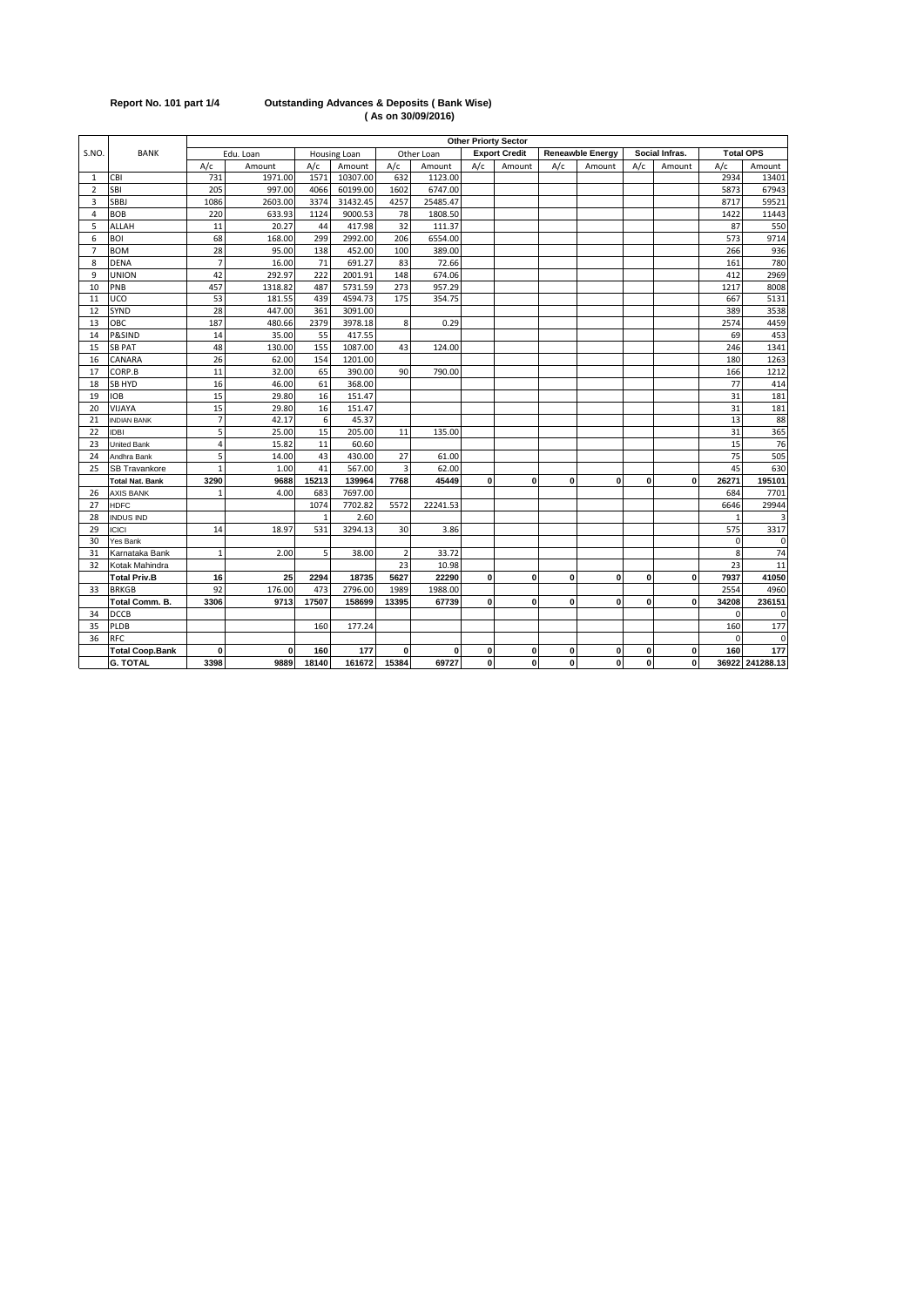| Report No. 101 part 1/4 |  |  |  |
|-------------------------|--|--|--|
|-------------------------|--|--|--|

### **Report No. 101 part 1/4 Outstanding Advances & Deposits ( Bank Wise) ( As on 30/09/2016)**

|                          |                        |                |           |              |              |                |              |             | Other Priorty Sector |             |                         |     |                |              |                  |
|--------------------------|------------------------|----------------|-----------|--------------|--------------|----------------|--------------|-------------|----------------------|-------------|-------------------------|-----|----------------|--------------|------------------|
| S.NO.                    | <b>BANK</b>            |                | Edu. Loan |              | Housing Loan |                | Other Loan   |             | <b>Export Credit</b> |             | <b>Reneawble Energy</b> |     | Social Infras. |              | <b>Total OPS</b> |
|                          |                        | A/c            | Amount    | A/c          | Amount       | A/c            | Amount       | A/c         | Amount               | A/c         | Amount                  | A/c | Amount         | A/c          | Amount           |
| 1                        | <b>CBI</b>             | 731            | 1971.00   | 1571         | 10307.00     | 632            | 1123.00      |             |                      |             |                         |     |                | 2934         | 13401            |
| $\overline{\phantom{a}}$ | SBI                    | 205            | 997.00    | 4066         | 60199.00     | 1602           | 6747.00      |             |                      |             |                         |     |                | 5873         | 67943            |
| 3                        | SBBJ                   | 1086           | 2603.00   | 3374         | 31432.45     | 4257           | 25485.47     |             |                      |             |                         |     |                | 8717         | 59521            |
| 4                        | <b>BOB</b>             | 220            | 633.93    | 1124         | 9000.53      | 78             | 1808.50      |             |                      |             |                         |     |                | 1422         | 11443            |
| 5                        | ALLAH                  | 11             | 20.27     | 44           | 417.98       | 32             | 111.37       |             |                      |             |                         |     |                | 87           | 550              |
| 6                        | BOI                    | 68             | 168.00    | 299          | 2992.00      | 206            | 6554.00      |             |                      |             |                         |     |                | 573          | 9714             |
| $\overline{7}$           | <b>BOM</b>             | 28             | 95.00     | 138          | 452.00       | 100            | 389.00       |             |                      |             |                         |     |                | 266          | 936              |
| 8                        | <b>DENA</b>            | $\overline{7}$ | 16.00     | 71           | 691.27       | 83             | 72.66        |             |                      |             |                         |     |                | 161          | 780              |
| 9                        | UNION                  | 42             | 292.97    | 222          | 2001.91      | 148            | 674.06       |             |                      |             |                         |     |                | 412          | 2969             |
| 10                       | PNB                    | 457            | 1318.82   | 487          | 5731.59      | 273            | 957.29       |             |                      |             |                         |     |                | 1217         | 8008             |
| 11                       | UCO                    | 53             | 181.55    | 439          | 4594.73      | 175            | 354.75       |             |                      |             |                         |     |                | 667          | 5131             |
| 12                       | SYND                   | 28             | 447.00    | 361          | 3091.00      |                |              |             |                      |             |                         |     |                | 389          | 3538             |
| 13                       | ОВС                    | 187            | 480.66    | 2379         | 3978.18      | 8              | 0.29         |             |                      |             |                         |     |                | 2574         | 4459             |
| 14                       | P&SIND                 | 14             | 35.00     | 55           | 417.55       |                |              |             |                      |             |                         |     |                | 69           | 453              |
| 15                       | <b>SB PAT</b>          | 48             | 130.00    | 155          | 1087.00      | 43             | 124.00       |             |                      |             |                         |     |                | 246          | 1341             |
| 16                       | CANARA                 | 26             | 62.00     | 154          | 1201.00      |                |              |             |                      |             |                         |     |                | 180          | 1263             |
| 17                       | CORP.B                 | 11             | 32.00     | 65           | 390.00       | 90             | 790.00       |             |                      |             |                         |     |                | 166          | 1212             |
| 18                       | SB HYD                 | 16             | 46.00     | 61           | 368.00       |                |              |             |                      |             |                         |     |                | 77           | 414              |
| 19                       | OB                     | 15             | 29.80     | 16           | 151.47       |                |              |             |                      |             |                         |     |                | 31           | 181              |
| 20                       | VIJAYA                 | 15             | 29.80     | 16           | 151.47       |                |              |             |                      |             |                         |     |                | 31           | 181              |
| 21                       | <b>INDIAN BANK</b>     | $\overline{7}$ | 42.17     | 6            | 45.37        |                |              |             |                      |             |                         |     |                | 13           | 88               |
| 22                       | <b>IDBI</b>            | 5              | 25.00     | 15           | 205.00       | 11             | 135.00       |             |                      |             |                         |     |                | 31           | 365              |
| 23                       | <b>Jnited Bank</b>     | $\overline{4}$ | 15.82     | 11           | 60.60        |                |              |             |                      |             |                         |     |                | 15           | 76               |
| 24                       | Andhra Bank            | 5              | 14.00     | 43           | 430.00       | 27             | 61.00        |             |                      |             |                         |     |                | 75           | 505              |
| 25                       | SB Travankore          | $\overline{1}$ | 1.00      | 41           | 567.00       | 3              | 62.00        |             |                      |             |                         |     |                | 45           | 630              |
|                          | <b>Total Nat. Bank</b> | 3290           | 9688      | 15213        | 139964       | 7768           | 45449        | 0           | 0                    | 0           | 0                       | 0   | $\mathbf{0}$   | 26271        | 195101           |
| 26                       | <b>AXIS BANK</b>       |                | 4.00      | 683          | 7697.00      |                |              |             |                      |             |                         |     |                | 684          | 7701             |
| 27                       | <b>HDFC</b>            |                |           | 1074         | 7702.82      | 5572           | 22241.53     |             |                      |             |                         |     |                | 6646         | 29944            |
| 28                       | <b>INDUS IND</b>       |                |           | $\mathbf{1}$ | 2.60         |                |              |             |                      |             |                         |     |                | $\mathbf{1}$ | Э                |
| 29                       | <b>ICICI</b>           | 14             | 18.97     | 531          | 3294.13      | 30             | 3.86         |             |                      |             |                         |     |                | 575          | 3317             |
| 30                       | Yes Bank               |                |           |              |              |                |              |             |                      |             |                         |     |                | $\Omega$     | $\mathbf 0$      |
| 31                       | Karnataka Bank         | $\mathbf{1}$   | 2.00      | 5            | 38.00        | $\overline{2}$ | 33.72        |             |                      |             |                         |     |                | 8            | 74               |
| 32                       | Kotak Mahindra         |                |           |              |              | 23             | 10.98        |             |                      |             |                         |     |                | 23           | 11               |
|                          | <b>Total Priv.B</b>    | 16             | 25        | 2294         | 18735        | 5627           | 22290        | $\mathbf 0$ | 0                    | $\mathbf 0$ | 0                       | 0   | $\mathbf 0$    | 7937         | 41050            |
| 33                       | <b>BRKGB</b>           | 92             | 176.00    | 473          | 2796.00      | 1989           | 1988.00      |             |                      |             |                         |     |                | 2554         | 4960             |
|                          | Total Comm. B.         | 3306           | 9713      | 17507        | 158699       | 13395          | 67739        | 0           | 0                    | $\bf{0}$    | 0                       | 0   | $\bf{0}$       | 34208        | 236151           |
| 34                       | DCCB                   |                |           |              |              |                |              |             |                      |             |                         |     |                | $\Omega$     | $\mathbf 0$      |
| 35                       | PLDB                   |                |           | 160          | 177.24       |                |              |             |                      |             |                         |     |                | 160          | 177              |
| 36                       | RFC                    |                |           |              |              |                |              |             |                      |             |                         |     |                | $\Omega$     | 0                |
|                          | <b>Total Coop.Bank</b> | 0              | 0         | 160          | 177          | 0              | $\mathbf{0}$ | $\pmb{0}$   | 0                    | 0           | 0                       | 0   | $\mathbf{0}$   | 160          | 177              |
|                          | <b>G. TOTAL</b>        | 3398           | 9889      | 18140        | 161672       | 15384          | 69727        | 0           | 0                    | 0           | 0                       | 0   | $\bf{0}$       |              | 36922 241288.13  |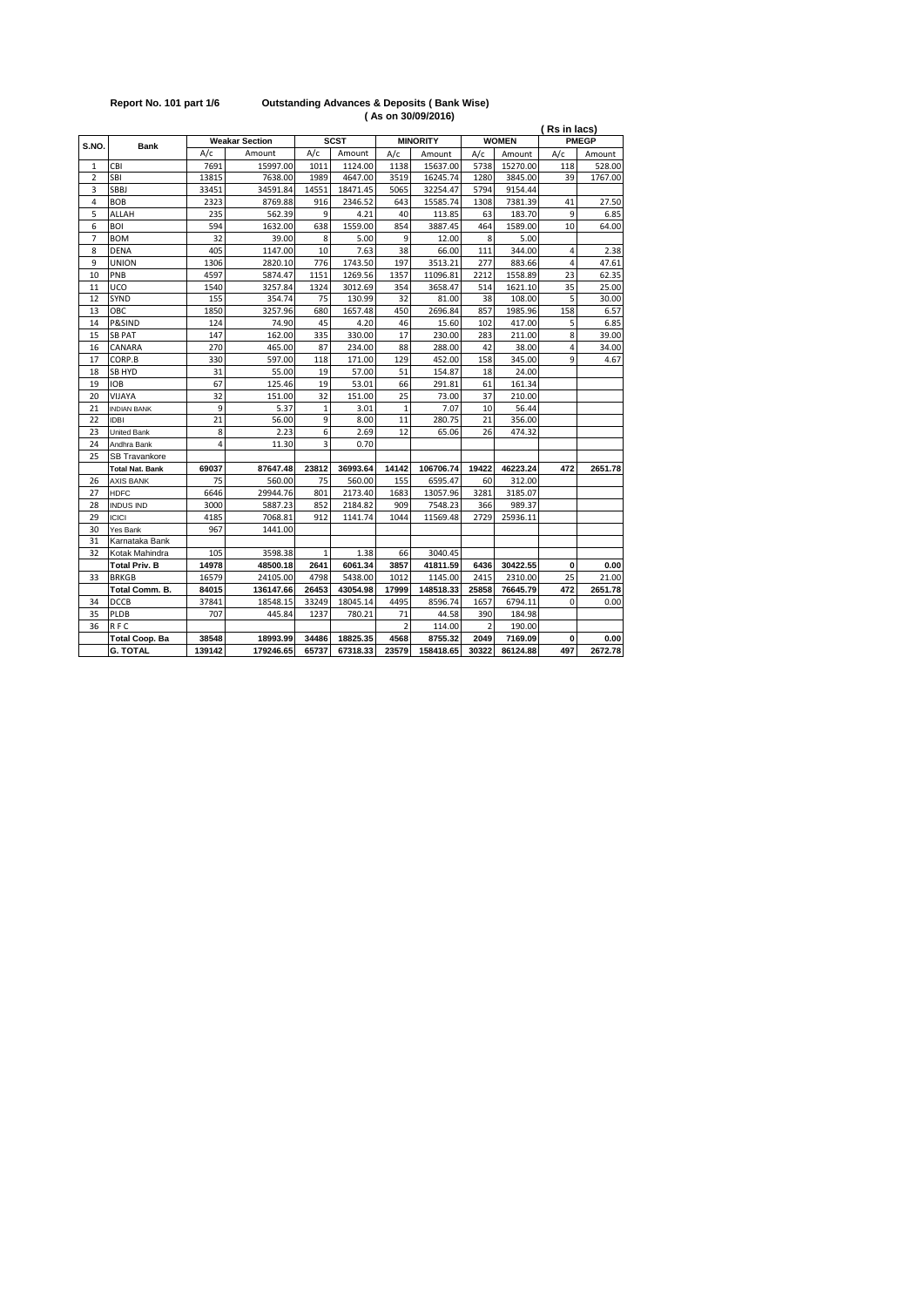|                |                        |        |                       |              |             |                         | (As on 30/09/2016) |                         |              |                |         |
|----------------|------------------------|--------|-----------------------|--------------|-------------|-------------------------|--------------------|-------------------------|--------------|----------------|---------|
|                |                        |        |                       |              |             |                         |                    |                         |              | (Rs in lacs)   |         |
| S.NO.          | <b>Bank</b>            |        | <b>Weakar Section</b> |              | <b>SCST</b> |                         | <b>MINORITY</b>    |                         | <b>WOMEN</b> | <b>PMEGP</b>   |         |
|                |                        | A/c    | Amount                | A/c          | Amount      | A/c                     | Amount             | A/c                     | Amount       | A/c            | Amount  |
| 1              | CBI                    | 7691   | 15997.00              | 1011         | 1124.00     | 1138                    | 15637.00           | 5738                    | 15270.00     | 118            | 528.00  |
| $\overline{2}$ | SBI                    | 13815  | 7638.00               | 1989         | 4647.00     | 3519                    | 16245.74           | 1280                    | 3845.00      | 39             | 1767.00 |
| 3              | SBBJ                   | 33451  | 34591.84              | 14551        | 18471.45    | 5065                    | 32254.47           | 5794                    | 9154.44      |                |         |
| 4              | <b>BOB</b>             | 2323   | 8769.88               | 916          | 2346.52     | 643                     | 15585.74           | 1308                    | 7381.39      | 41             | 27.50   |
| 5              | ALLAH                  | 235    | 562.39                | 9            | 4.21        | 40                      | 113.85             | 63                      | 183.70       | 9              | 6.85    |
| 6              | <b>BOI</b>             | 594    | 1632.00               | 638          | 1559.00     | 854                     | 3887.45            | 464                     | 1589.00      | 10             | 64.00   |
| $\overline{7}$ | <b>BOM</b>             | 32     | 39.00                 | 8            | 5.00        | 9                       | 12.00              | 8                       | 5.00         |                |         |
| 8              | <b>DENA</b>            | 405    | 1147.00               | 10           | 7.63        | 38                      | 66.00              | 111                     | 344.00       | $\overline{4}$ | 2.38    |
| 9              | UNION                  | 1306   | 2820.10               | 776          | 1743.50     | 197                     | 3513.21            | 277                     | 883.66       | $\overline{4}$ | 47.61   |
| 10             | PNB                    | 4597   | 5874.47               | 1151         | 1269.56     | 1357                    | 11096.81           | 2212                    | 1558.89      | 23             | 62.35   |
| 11             | UCO                    | 1540   | 3257.84               | 1324         | 3012.69     | 354                     | 3658.47            | 514                     | 1621.10      | 35             | 25.00   |
| 12             | SYND                   | 155    | 354.74                | 75           | 130.99      | 32                      | 81.00              | 38                      | 108.00       | 5              | 30.00   |
| 13             | OBC                    | 1850   | 3257.96               | 680          | 1657.48     | 450                     | 2696.84            | 857                     | 1985.96      | 158            | 6.57    |
| 14             | P&SIND                 | 124    | 74.90                 | 45           | 4.20        | 46                      | 15.60              | 102                     | 417.00       | 5              | 6.85    |
| 15             | <b>SB PAT</b>          | 147    | 162.00                | 335          | 330.00      | 17                      | 230.00             | 283                     | 211.00       | 8              | 39.00   |
| 16             | CANARA                 | 270    | 465.00                | 87           | 234.00      | 88                      | 288.00             | 42                      | 38.00        | $\overline{4}$ | 34.00   |
| 17             | CORP.B                 | 330    | 597.00                | 118          | 171.00      | 129                     | 452.00             | 158                     | 345.00       | 9              | 4.67    |
| 18             | <b>SB HYD</b>          | 31     | 55.00                 | 19           | 57.00       | 51                      | 154.87             | 18                      | 24.00        |                |         |
| 19             | IOB                    | 67     | 125.46                | 19           | 53.01       | 66                      | 291.81             | 61                      | 161.34       |                |         |
| 20             | VIJAYA                 | 32     | 151.00                | 32           | 151.00      | 25                      | 73.00              | 37                      | 210.00       |                |         |
| 21             | <b>INDIAN BANK</b>     | 9      | 5.37                  | $\mathbf{1}$ | 3.01        | $\mathbf{1}$            | 7.07               | 10                      | 56.44        |                |         |
| 22             | <b>IDBI</b>            | 21     | 56.00                 | 9            | 8.00        | 11                      | 280.75             | 21                      | 356.00       |                |         |
| 23             | United Bank            | 8      | 2.23                  | 6            | 2.69        | 12                      | 65.06              | 26                      | 474.32       |                |         |
| 24             | Andhra Bank            | 4      | 11.30                 | 3            | 0.70        |                         |                    |                         |              |                |         |
| 25             | SB Travankore          |        |                       |              |             |                         |                    |                         |              |                |         |
|                | <b>Total Nat. Bank</b> | 69037  | 87647.48              | 23812        | 36993.64    | 14142                   | 106706.74          | 19422                   | 46223.24     | 472            | 2651.78 |
| 26             | <b>AXIS BANK</b>       | 75     | 560.00                | 75           | 560.00      | 155                     | 6595.47            | 60                      | 312.00       |                |         |
| 27             | <b>HDFC</b>            | 6646   | 29944.76              | 801          | 2173.40     | 1683                    | 13057.96           | 3281                    | 3185.07      |                |         |
| 28             | <b>INDUS IND</b>       | 3000   | 5887.23               | 852          | 2184.82     | 909                     | 7548.23            | 366                     | 989.37       |                |         |
| 29             | <b>ICICI</b>           | 4185   | 7068.81               | 912          | 1141.74     | 1044                    | 11569.48           | 2729                    | 25936.11     |                |         |
| 30             | Yes Bank               | 967    | 1441.00               |              |             |                         |                    |                         |              |                |         |
| 31             | Karnataka Bank         |        |                       |              |             |                         |                    |                         |              |                |         |
| 32             | Kotak Mahindra         | 105    | 3598.38               | $\mathbf{1}$ | 1.38        | 66                      | 3040.45            |                         |              |                |         |
|                | <b>Total Priv. B</b>   | 14978  | 48500.18              | 2641         | 6061.34     | 3857                    | 41811.59           | 6436                    | 30422.55     | $\bf{0}$       | 0.00    |
| 33             | <b>BRKGB</b>           | 16579  | 24105.00              | 4798         | 5438.00     | 1012                    | 1145.00            | 2415                    | 2310.00      | 25             | 21.00   |
|                | Total Comm. B.         | 84015  | 136147.66             | 26453        | 43054.98    | 17999                   | 148518.33          | 25858                   | 76645.79     | 472            | 2651.78 |
| 34             | DCCB                   | 37841  | 18548.15              | 33249        | 18045.14    | 4495                    | 8596.74            | 1657                    | 6794.11      | $\Omega$       | 0.00    |
| 35             | PLDB                   | 707    | 445.84                | 1237         | 780.21      | 71                      | 44.58              | 390                     | 184.98       |                |         |
| 36             | RFC                    |        |                       |              |             | $\overline{\mathbf{z}}$ | 114.00             | $\overline{\mathbf{z}}$ | 190.00       |                |         |
|                | Total Coop. Ba         | 38548  | 18993.99              | 34486        | 18825.35    | 4568                    | 8755.32            | 2049                    | 7169.09      | 0              | 0.00    |
|                | <b>G. TOTAL</b>        | 139142 | 179246.65             | 65737        | 67318.33    | 23579                   | 158418.65          | 30322                   | 86124.88     | 497            | 2672.78 |

# **Report No. 101 part 1/6 Outstanding Advances & Deposits ( Bank Wise)**